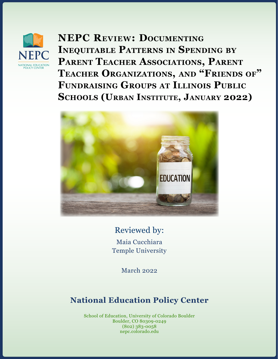

**NEPC Review: Documenting Inequitable Patterns in Spending by Parent Teacher Associations, Parent Teacher Organizations, and "Friends of" Fundraising Groups at Illinois Public Schools (Urban Institute, January 2022)**



# Reviewed by:

Maia Cucchiara Temple University

March 2022

# **National Education Policy Center**

School of Education, University of Colorado Boulder Boulder, CO 80309-0249 (802) 383-0058 nepc.colorado.edu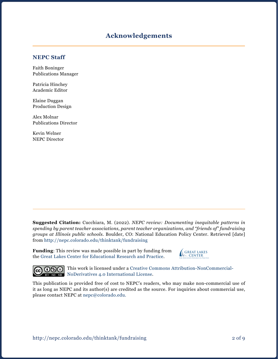### **Acknowledgements**

#### **NEPC Staff**

Faith Boninger Publications Manager

Patricia Hinchey Academic Editor

Elaine Duggan Production Design

Alex Molnar Publications Director

Kevin Welner NEPC Director

**Suggested Citation:** Cucchiara, M. (2022). *NEPC review: Documenting inequitable patterns in spending by parent teacher associations, parent teacher organizations, and "friends of" fundraising groups at Illinois public schools.* Boulder, CO: National Education Policy Center. Retrieved [date] from<http://nepc.colorado.edu/thinktank/fundraising>

**Funding**: This review was made possible in part by funding from the [Great Lakes Center for Educational Research and Practice](http://www.greatlakescenter.org).





This work is licensed under a [Creative Commons Attribution-NonCommercial-](https://creativecommons.org/licenses/by-nc-nd/4.0/)[NoDerivatives 4.0 International License](https://creativecommons.org/licenses/by-nc-nd/4.0/).

This publication is provided free of cost to NEPC's readers, who may make non-commercial use of it as long as NEPC and its author(s) are credited as the source. For inquiries about commercial use, please contact NEPC at [nepc@colorado.edu](mailto:nepc%40colorado.edu?subject=).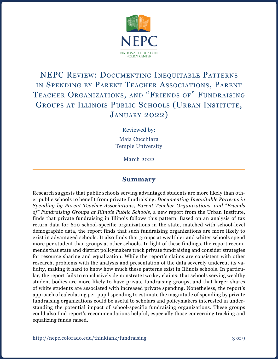

# NEPC Review: Documenting Inequitable Patterns in Spending by Parent Teacher Associations, Parent Teacher Organizations, and "Friends of" Fundraising GROUPS AT ILLINOIS PUBLIC SCHOOLS (URBAN INSTITUTE, January 2022)

Reviewed by:

Maia Cucchiara Temple University

March 2022

#### **Summary**

Research suggests that public schools serving advantaged students are more likely than other public schools to benefit from private fundraising. *Documenting Inequitable Patterns in Spending by Parent Teacher Associations, Parent Teacher Organizations, and "Friends of" Fundraising Groups at Illinois Public Schools,* a new report from the Urban Institute, finds that private fundraising in Illinois follows this pattern. Based on an analysis of tax return data for 600 school-specific organizations in the state, matched with school-level demographic data, the report finds that such fundraising organizations are more likely to exist in advantaged schools. It also finds that groups at wealthier and whiter schools spend more per student than groups at other schools. In light of these findings, the report recommends that state and district policymakers track private fundraising and consider strategies for resource sharing and equalization. While the report's claims are consistent with other research, problems with the analysis and presentation of the data severely undercut its validity, making it hard to know how much these patterns exist in Illinois schools. In particular, the report fails to conclusively demonstrate two key claims: that schools serving wealthy student bodies are more likely to have private fundraising groups, and that larger shares of white students are associated with increased private spending. Nonetheless, the report's approach of calculating per-pupil spending to estimate the magnitude of spending by private fundraising organizations could be useful to scholars and policymakers interested in understanding the potential impact of school-specific fundraising organizations. These groups could also find report's recommendations helpful, especially those concerning tracking and equalizing funds raised.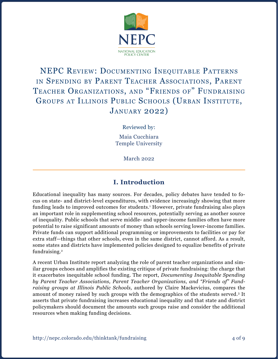

# NEPC Review: Documenting Inequitable Patterns in Spending by Parent Teacher Associations, Parent Teacher Organizations, and "Friends of" Fundraising GROUPS AT ILLINOIS PUBLIC SCHOOLS (URBAN INSTITUTE, January 2022)

Reviewed by:

Maia Cucchiara Temple University

March 2022

# **I. Introduction**

Educational inequality has many sources. For decades, policy debates have tended to focus on state- and district-level expenditures, with evidence increasingly showing that more funding leads to improved outcomes for students.<sup>1</sup> However, private fundraising also plays an important role in supplementing school resources, potentially serving as another source of inequality. Public schools that serve middle- and upper-income families often have more potential to raise significant amounts of money than schools serving lower-income families. Private funds can support additional programming or improvements to facilities or pay for extra staff—things that other schools, even in the same district, cannot afford. As a result, some states and districts have implemented policies designed to equalize benefits of private fundraising.<sup>2</sup>

A recent Urban Institute report analyzing the role of parent teacher organizations and similar groups echoes and amplifies the existing critique of private fundraising: the charge that it exacerbates inequitable school funding. The report, *Documenting Inequitable Spending by Parent Teacher Associations, Parent Teacher Organizations, and "Friends of" Fundraising groups at Illinois Public Schools,* authored by Claire Mackevicius, compares the amount of money raised by such groups with the demographics of the students served.3 It asserts that private fundraising increases educational inequality and that state and district policymakers should document the amounts such groups raise and consider the additional resources when making funding decisions.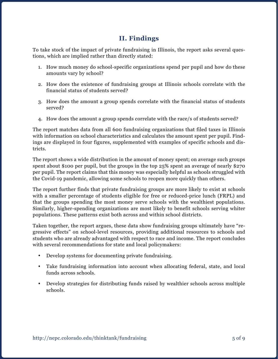# **II. Findings**

To take stock of the impact of private fundraising in Illinois, the report asks several questions, which are implied rather than directly stated:

- 1. How much money do school-specific organizations spend per pupil and how do these amounts vary by school?
- 2. How does the existence of fundraising groups at Illinois schools correlate with the financial status of students served?
- 3. How does the amount a group spends correlate with the financial status of students served?
- 4. How does the amount a group spends correlate with the race/s of students served?

The report matches data from all 600 fundraising organizations that filed taxes in Illinois with information on school characteristics and calculates the amount spent per pupil. Findings are displayed in four figures, supplemented with examples of specific schools and districts.

The report shows a wide distribution in the amount of money spent; on average such groups spent about \$100 per pupil, but the groups in the top 25% spent an average of nearly \$270 per pupil. The report claims that this money was especially helpful as schools struggled with the Covid-19 pandemic, allowing some schools to reopen more quickly than others.

The report further finds that private fundraising groups are more likely to exist at schools with a smaller percentage of students eligible for free or reduced-price lunch (FRPL) and that the groups spending the most money serve schools with the wealthiest populations. Similarly, higher-spending organizations are most likely to benefit schools serving whiter populations. These patterns exist both across and within school districts.

Taken together, the report argues, these data show fundraising groups ultimately have "regressive effects" on school-level resources, providing additional resources to schools and students who are already advantaged with respect to race and income. The report concludes with several recommendations for state and local policymakers:

- Develop systems for documenting private fundraising.
- • Take fundraising information into account when allocating federal, state, and local funds across schools.
- • Develop strategies for distributing funds raised by wealthier schools across multiple schools.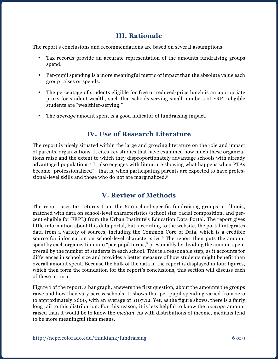## **III. Rationale**

The report's conclusions and recommendations are based on several assumptions:

- Tax records provide an accurate representation of the amounts fundraising groups spend.
- Per-pupil spending is a more meaningful metric of impact than the absolute value each group raises or spends.
- The percentage of students eligible for free or reduced-price lunch is an appropriate proxy for student wealth, such that schools serving small numbers of FRPL-eligible students are "wealthier-serving."
- • The *average* amount spent is a good indicator of fundraising impact.

### **IV. Use of Research Literature**

The report is nicely situated within the large and growing literature on the role and impact of parents' organizations. It cites key studies that have examined how much these organizations raise and the extent to which they disproportionately advantage schools with already advantaged populations.4 It also engages with literature showing what happens when PTAs become "professionalized"—that is, when participating parents are expected to have professional-level skills and those who do not are marginalized.5

## **V. Review of Methods**

The report uses tax returns from the 600 school-specific fundraising groups in Illinois, matched with data on school-level characteristics (school size, racial composition, and percent eligible for FRPL) from the Urban Institute's Education Data Portal. The report gives little information about this data portal, but, according to the website, the portal integrates data from a variety of sources, including the Common Core of Data, which is a credible source for information on school-level characteristics.<sup>6</sup> The report then puts the amount spent by each organization into "per-pupil terms," presumably by dividing the amount spent overall by the number of students in each school. This is a reasonable step, as it accounts for differences in school size and provides a better measure of how students might benefit than overall amount spent. Because the bulk of the data in the report is displayed in four figures, which then form the foundation for the report's conclusions, this section will discuss each of these in turn.

Figure 1 of the report, a bar graph, answers the first question, about the amounts the groups raise and how they vary across schools. It shows that per-pupil spending varied from zero to approximately \$600, with an average of \$107.12. Yet, as the figure shows, there is a fairly long tail to this distribution. For this reason, it is less helpful to know the *average* amount raised than it would be to know the *median*. As with distributions of income, medians tend to be more meaningful than means.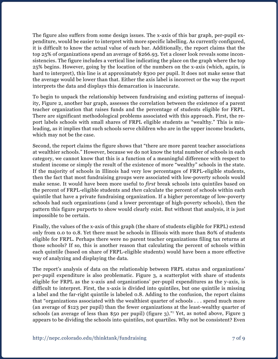The figure also suffers from some design issues. The x-axis of this bar graph, per-pupil expenditure, would be easier to interpret with more specific labelling. As currently configured, it is difficult to know the actual value of each bar. Additionally, the report claims that the top 25% of organizations spend an average of \$266.93. Yet a closer look reveals some inconsistencies. The figure includes a vertical line indicating the place on the graph where the top 25% begins. However, going by the location of the numbers on the x-axis (which, again, is hard to interpret), this line is at approximately \$300 per pupil. It does not make sense that the average would be lower than that. Either the axis label is incorrect or the way the report interprets the data and displays this demarcation is inaccurate.

To begin to unpack the relationship between fundraising and existing patterns of inequality, Figure 2, another bar graph, assesses the correlation between the existence of a parent teacher organization that raises funds and the percentage of students eligible for FRPL. There are significant methodological problems associated with this approach. First, the report labels schools with small shares of FRPL eligible students as "wealthy." This is misleading, as it implies that such schools serve children who are in the upper income brackets, which may not be the case.

Second, the report claims the figure shows that "there are more parent teacher associations at wealthier schools." However, because we do not know the total number of schools in each category, we cannot know that this is a function of a meaningful difference with respect to student income or simply the result of the existence of more "wealthy" schools in the state. If the majority of schools in Illinois had very low percentages of FRPL-eligible students, then the fact that most fundraising groups were associated with low-poverty schools would make sense. It would have been more useful to *first* break schools into quintiles based on the percent of FRPL-eligible students and *then* calculate the percent of schools within each quintile that have a private fundraising organization. If a higher percentage of low-poverty schools had such organizations (and a lower percentage of high-poverty schools), then the pattern this figure purports to show would clearly exist. But without that analysis, it is just impossible to be certain.

Finally, the values of the x-axis of this graph (the share of students eligible for FRPL) extend only from 0.0 to 0.8. Yet there must be schools in Illinois with more than 80% of students eligible for FRPL. Perhaps there were no parent teacher organizations filing tax returns at those schools? If so, this is another reason that calculating the percent of schools within each quintile (based on share of FRPL-eligible students) would have been a more effective way of analyzing and displaying the data.

The report's analysis of data on the relationship between FRPL status and organizations' per-pupil expenditure is also problematic. Figure 3, a scatterplot with share of students eligible for FRPL as the x-axis and organizations' per-pupil expenditures as the y-axis, is difficult to interpret. First, the x-axis is divided into quintiles, but one quintile is missing a label and the far-right quintile is labeled 0.8. Adding to the confusion, the report claims that "organizations associated with the wealthiest quarter of schools . . . spend much more (an average of \$123 per pupil) than the fewer organizations at the least-wealthy quarter of schools (an average of less than \$50 per pupil) (figure 3)."7 Yet, as noted above, Figure 3 appears to be dividing the schools into quintiles, not quartiles. Why not be consistent? Even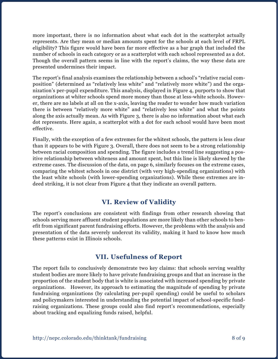more important, there is no information about what each dot in the scatterplot actually represents. Are they mean or median amounts spent for the schools at each level of FRPL eligibility? This figure would have been far more effective as a bar graph that included the number of schools in each category or as a scatterplot with each school represented as a dot. Though the overall pattern seems in line with the report's claims, the way these data are presented undermines their impact.

The report's final analysis examines the relationship between a school's "relative racial composition" (determined as "relatively less white" and "relatively more white") and the organization's per-pupil expenditure. This analysis, displayed in Figure 4, purports to show that organizations at whiter schools spend more money than those at less-white schools. However, there are no labels at all on the x-axis, leaving the reader to wonder how much variation there is between "relatively more white" and "relatively less white" and what the points along the axis actually mean. As with Figure 3, there is also no information about what each dot represents. Here again, a scatterplot with a dot for each school would have been most effective.

Finally, with the exception of a few extremes for the whitest schools, the pattern is less clear than it appears to be with Figure 3. Overall, there does not seem to be a strong relationship between racial composition and spending. The figure includes a trend line suggesting a positive relationship between whiteness and amount spent, but this line is likely skewed by the extreme cases. The discussion of the data, on page 6, similarly focuses on the extreme cases, comparing the whitest schools in one district (with very high-spending organizations) with the least white schools (with lower-spending organizations). While these extremes are indeed striking, it is not clear from Figure 4 that they indicate an overall pattern.

## **VI. Review of Validity**

The report's conclusions are consistent with findings from other research showing that schools serving more affluent student populations are more likely than other schools to benefit from significant parent fundraising efforts. However, the problems with the analysis and presentation of the data severely undercut its validity, making it hard to know how much these patterns exist in Illinois schools.

### **VII. Usefulness of Report**

The report fails to conclusively demonstrate two key claims: that schools serving wealthy student bodies are more likely to have private fundraising groups and that an increase in the proportion of the student body that is white is associated with increased spending by private organizations. However, its approach to estimating the magnitude of spending by private fundraising organizations (by calculating per-pupil spending) could be useful to scholars and policymakers interested in understanding the potential impact of school-specific fundraising organizations. These groups could also find report's recommendations, especially about tracking and equalizing funds raised, helpful.